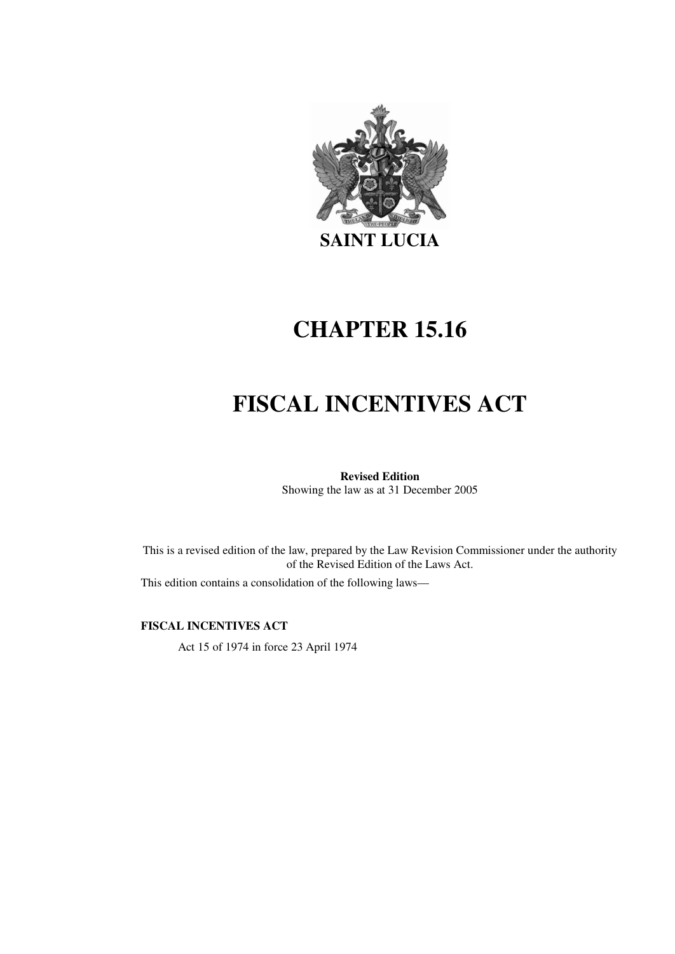

# **CHAPTER 15.16**

# **FISCAL INCENTIVES ACT**

# **Revised Edition**

Showing the law as at 31 December 2005

This is a revised edition of the law, prepared by the Law Revision Commissioner under the authority of the Revised Edition of the Laws Act.

This edition contains a consolidation of the following laws—

**FISCAL INCENTIVES ACT** 

Act 15 of 1974 in force 23 April 1974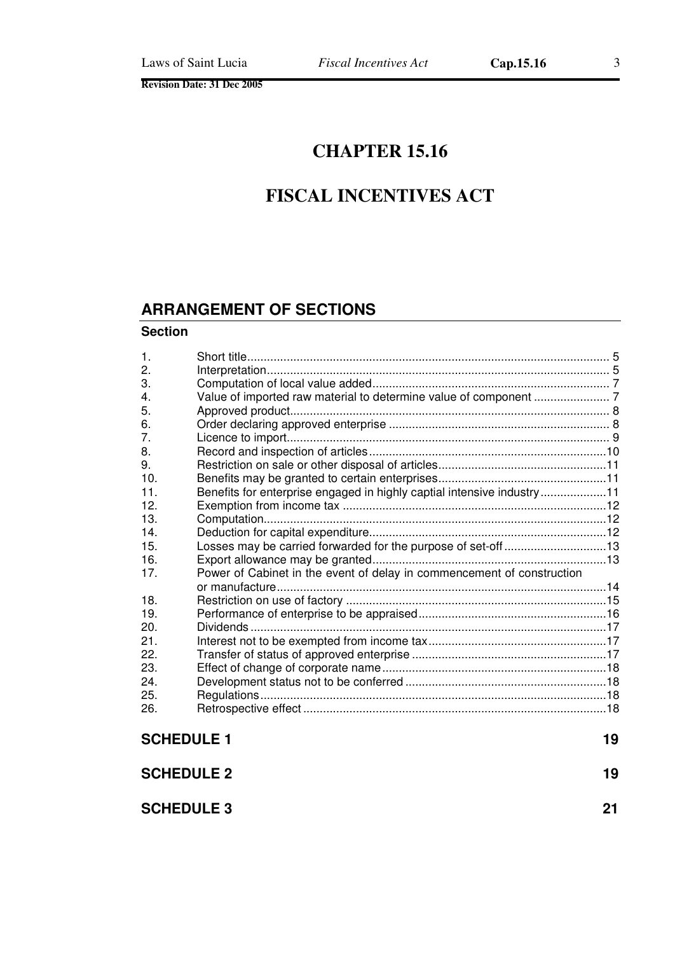# **CHAPTER 15.16**

# **FISCAL INCENTIVES ACT**

# **ARRANGEMENT OF SECTIONS**

#### **Section**

| $\mathbf{1}$ .    |                                                                        |  |
|-------------------|------------------------------------------------------------------------|--|
| 2.                |                                                                        |  |
| 3.                |                                                                        |  |
| 4.                |                                                                        |  |
| 5.                |                                                                        |  |
| 6.                |                                                                        |  |
| 7.                |                                                                        |  |
| 8.                |                                                                        |  |
| 9.                |                                                                        |  |
| 10.               |                                                                        |  |
| 11                | Benefits for enterprise engaged in highly captial intensive industry11 |  |
| 12.               |                                                                        |  |
| 13.               |                                                                        |  |
| 14.               |                                                                        |  |
| 15.               | Losses may be carried forwarded for the purpose of set-off13           |  |
| 16.               |                                                                        |  |
| 17 <sub>1</sub>   | Power of Cabinet in the event of delay in commencement of construction |  |
|                   |                                                                        |  |
| 18.               |                                                                        |  |
| 19.               |                                                                        |  |
| 20.               |                                                                        |  |
| 21                |                                                                        |  |
| 22.               |                                                                        |  |
| 23.               |                                                                        |  |
| 24.               |                                                                        |  |
| 25.               |                                                                        |  |
| 26.               |                                                                        |  |
| <b>SCHEDULE 1</b> |                                                                        |  |
| <b>SCHEDULE 2</b> |                                                                        |  |

| <b>SCHEDULE 3</b> | 21 |  |
|-------------------|----|--|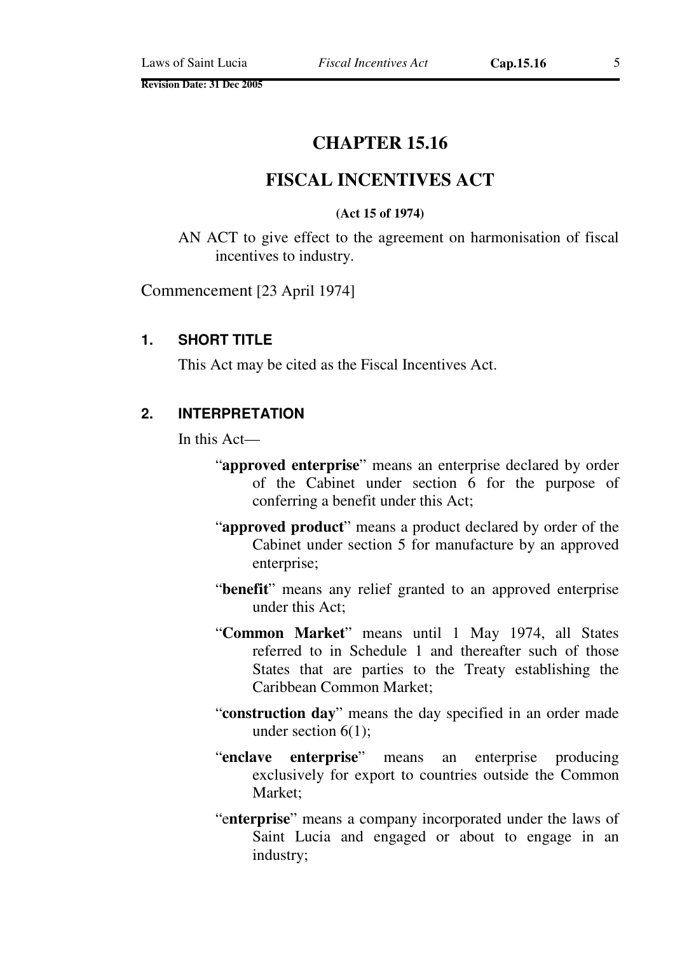# **CHAPTER 15.16**

# **FISCAL INCENTIVES ACT**

#### **(Act 15 of 1974)**

AN ACT to give effect to the agreement on harmonisation of fiscal incentives to industry.

Commencement [23 April 1974]

#### **1. SHORT TITLE**

This Act may be cited as the Fiscal Incentives Act.

#### **2. INTERPRETATION**

In this Act—

- "**approved enterprise**" means an enterprise declared by order of the Cabinet under section 6 for the purpose of conferring a benefit under this Act;
- "**approved product**" means a product declared by order of the Cabinet under section 5 for manufacture by an approved enterprise;
- "**benefit**" means any relief granted to an approved enterprise under this Act;
- "**Common Market**" means until 1 May 1974, all States referred to in Schedule 1 and thereafter such of those States that are parties to the Treaty establishing the Caribbean Common Market;
- "**construction day**" means the day specified in an order made under section 6(1);
- "**enclave enterprise**" means an enterprise producing exclusively for export to countries outside the Common Market;
- "e**nterprise**" means a company incorporated under the laws of Saint Lucia and engaged or about to engage in an industry;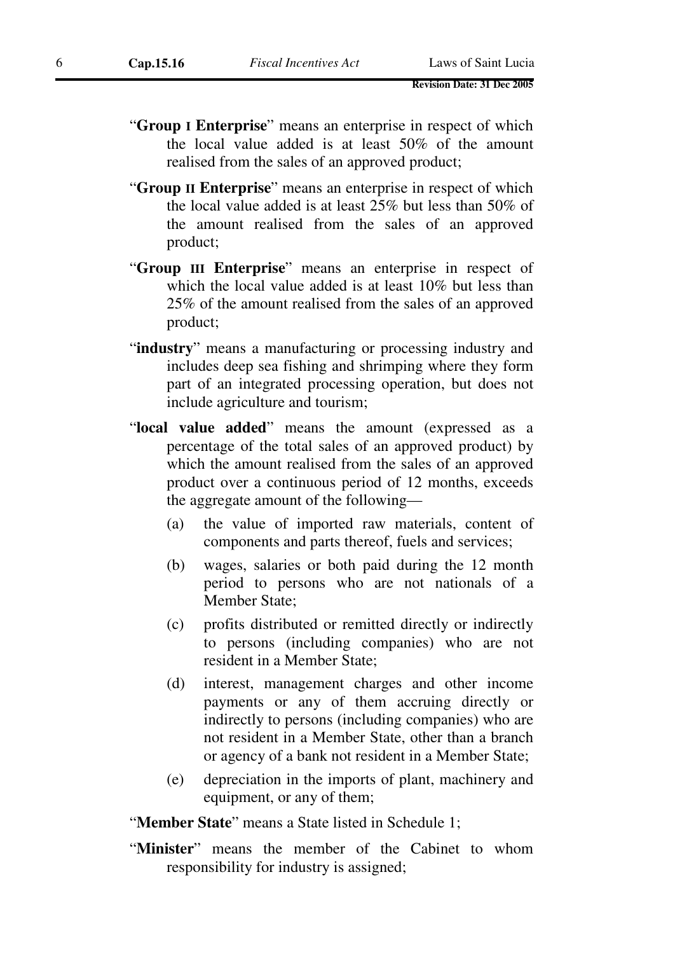- "**Group I Enterprise**" means an enterprise in respect of which the local value added is at least 50% of the amount realised from the sales of an approved product;
- "**Group II Enterprise**" means an enterprise in respect of which the local value added is at least 25% but less than 50% of the amount realised from the sales of an approved product;
- "**Group III Enterprise**" means an enterprise in respect of which the local value added is at least 10% but less than 25% of the amount realised from the sales of an approved product;
- "industry" means a manufacturing or processing industry and includes deep sea fishing and shrimping where they form part of an integrated processing operation, but does not include agriculture and tourism;
- "**local value added**" means the amount (expressed as a percentage of the total sales of an approved product) by which the amount realised from the sales of an approved product over a continuous period of 12 months, exceeds the aggregate amount of the following—
	- (a) the value of imported raw materials, content of components and parts thereof, fuels and services;
	- (b) wages, salaries or both paid during the 12 month period to persons who are not nationals of a Member State;
	- (c) profits distributed or remitted directly or indirectly to persons (including companies) who are not resident in a Member State;
	- (d) interest, management charges and other income payments or any of them accruing directly or indirectly to persons (including companies) who are not resident in a Member State, other than a branch or agency of a bank not resident in a Member State;
	- (e) depreciation in the imports of plant, machinery and equipment, or any of them;

"**Member State**" means a State listed in Schedule 1;

"**Minister**" means the member of the Cabinet to whom responsibility for industry is assigned;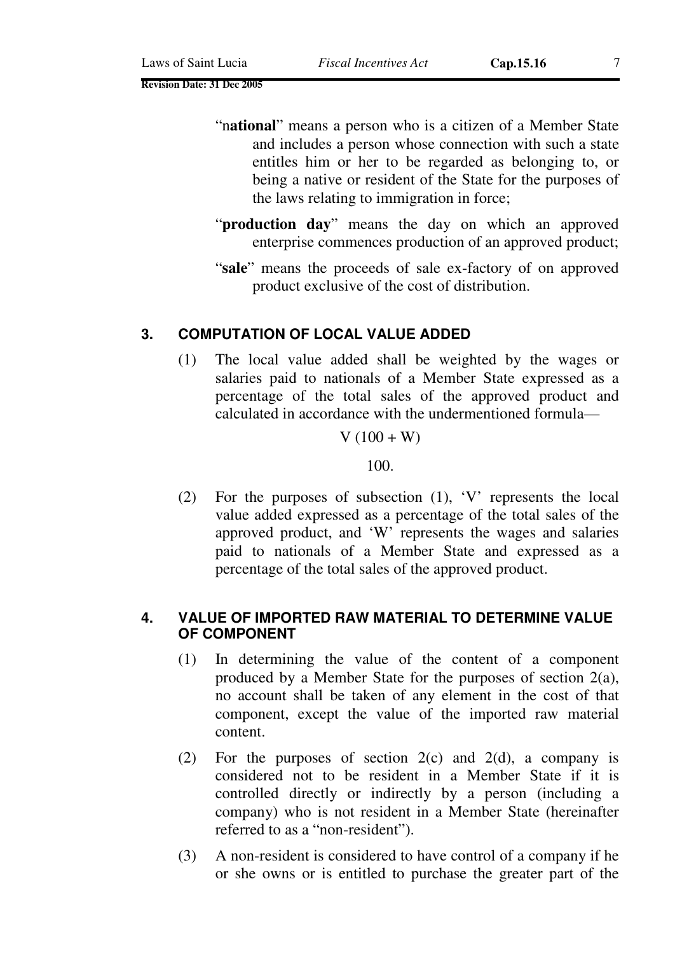- "n**ational**" means a person who is a citizen of a Member State and includes a person whose connection with such a state entitles him or her to be regarded as belonging to, or being a native or resident of the State for the purposes of the laws relating to immigration in force;
- "**production day**" means the day on which an approved enterprise commences production of an approved product;
- "**sale**" means the proceeds of sale ex-factory of on approved product exclusive of the cost of distribution.

#### **3. COMPUTATION OF LOCAL VALUE ADDED**

(1) The local value added shall be weighted by the wages or salaries paid to nationals of a Member State expressed as a percentage of the total sales of the approved product and calculated in accordance with the undermentioned formula—

#### $V(100 + W)$

100.

(2) For the purposes of subsection (1), 'V' represents the local value added expressed as a percentage of the total sales of the approved product, and 'W' represents the wages and salaries paid to nationals of a Member State and expressed as a percentage of the total sales of the approved product.

#### **4. VALUE OF IMPORTED RAW MATERIAL TO DETERMINE VALUE OF COMPONENT**

- (1) In determining the value of the content of a component produced by a Member State for the purposes of section 2(a), no account shall be taken of any element in the cost of that component, except the value of the imported raw material content.
- (2) For the purposes of section  $2(c)$  and  $2(d)$ , a company is considered not to be resident in a Member State if it is controlled directly or indirectly by a person (including a company) who is not resident in a Member State (hereinafter referred to as a "non-resident").
- (3) A non-resident is considered to have control of a company if he or she owns or is entitled to purchase the greater part of the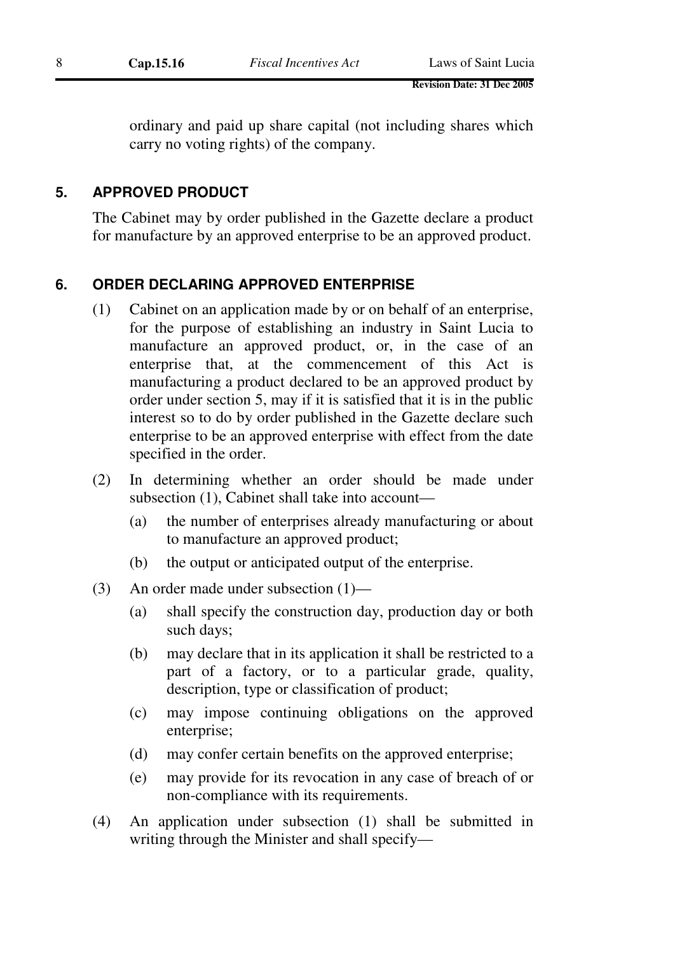ordinary and paid up share capital (not including shares which carry no voting rights) of the company.

## **5. APPROVED PRODUCT**

The Cabinet may by order published in the Gazette declare a product for manufacture by an approved enterprise to be an approved product.

# **6. ORDER DECLARING APPROVED ENTERPRISE**

- (1) Cabinet on an application made by or on behalf of an enterprise, for the purpose of establishing an industry in Saint Lucia to manufacture an approved product, or, in the case of an enterprise that, at the commencement of this Act is manufacturing a product declared to be an approved product by order under section 5, may if it is satisfied that it is in the public interest so to do by order published in the Gazette declare such enterprise to be an approved enterprise with effect from the date specified in the order.
- (2) In determining whether an order should be made under subsection (1), Cabinet shall take into account—
	- (a) the number of enterprises already manufacturing or about to manufacture an approved product;
	- (b) the output or anticipated output of the enterprise.
- (3) An order made under subsection (1)—
	- (a) shall specify the construction day, production day or both such days;
	- (b) may declare that in its application it shall be restricted to a part of a factory, or to a particular grade, quality, description, type or classification of product;
	- (c) may impose continuing obligations on the approved enterprise;
	- (d) may confer certain benefits on the approved enterprise;
	- (e) may provide for its revocation in any case of breach of or non-compliance with its requirements.
- (4) An application under subsection (1) shall be submitted in writing through the Minister and shall specify—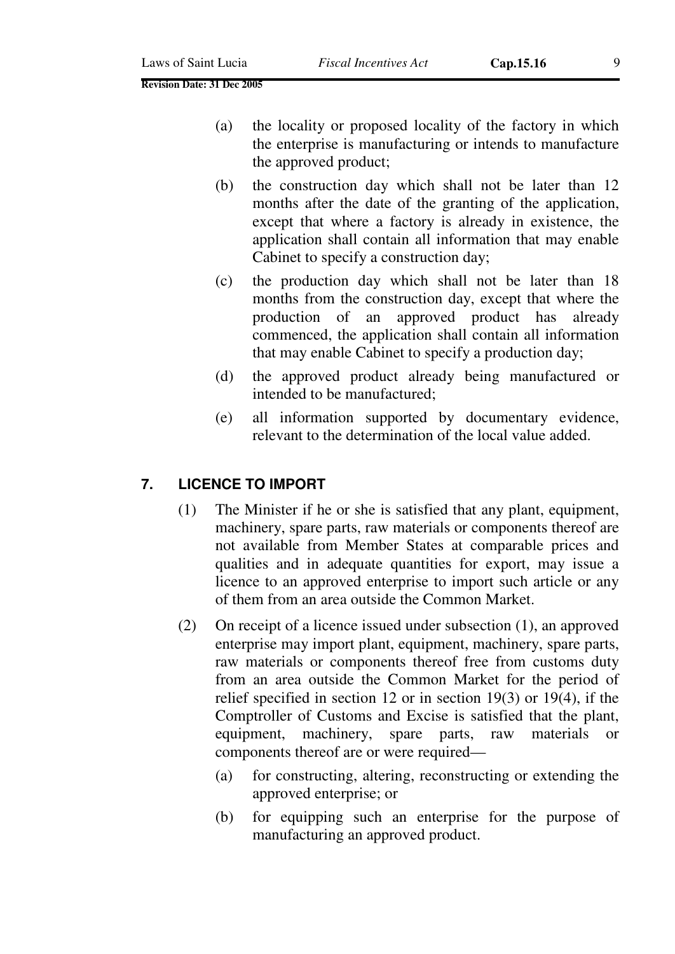- (a) the locality or proposed locality of the factory in which the enterprise is manufacturing or intends to manufacture the approved product;
- (b) the construction day which shall not be later than 12 months after the date of the granting of the application, except that where a factory is already in existence, the application shall contain all information that may enable Cabinet to specify a construction day;
- (c) the production day which shall not be later than 18 months from the construction day, except that where the production of an approved product has already commenced, the application shall contain all information that may enable Cabinet to specify a production day;
- (d) the approved product already being manufactured or intended to be manufactured;
- (e) all information supported by documentary evidence, relevant to the determination of the local value added.

# **7. LICENCE TO IMPORT**

- (1) The Minister if he or she is satisfied that any plant, equipment, machinery, spare parts, raw materials or components thereof are not available from Member States at comparable prices and qualities and in adequate quantities for export, may issue a licence to an approved enterprise to import such article or any of them from an area outside the Common Market.
- (2) On receipt of a licence issued under subsection (1), an approved enterprise may import plant, equipment, machinery, spare parts, raw materials or components thereof free from customs duty from an area outside the Common Market for the period of relief specified in section 12 or in section 19(3) or 19(4), if the Comptroller of Customs and Excise is satisfied that the plant, equipment, machinery, spare parts, raw materials or components thereof are or were required—
	- (a) for constructing, altering, reconstructing or extending the approved enterprise; or
	- (b) for equipping such an enterprise for the purpose of manufacturing an approved product.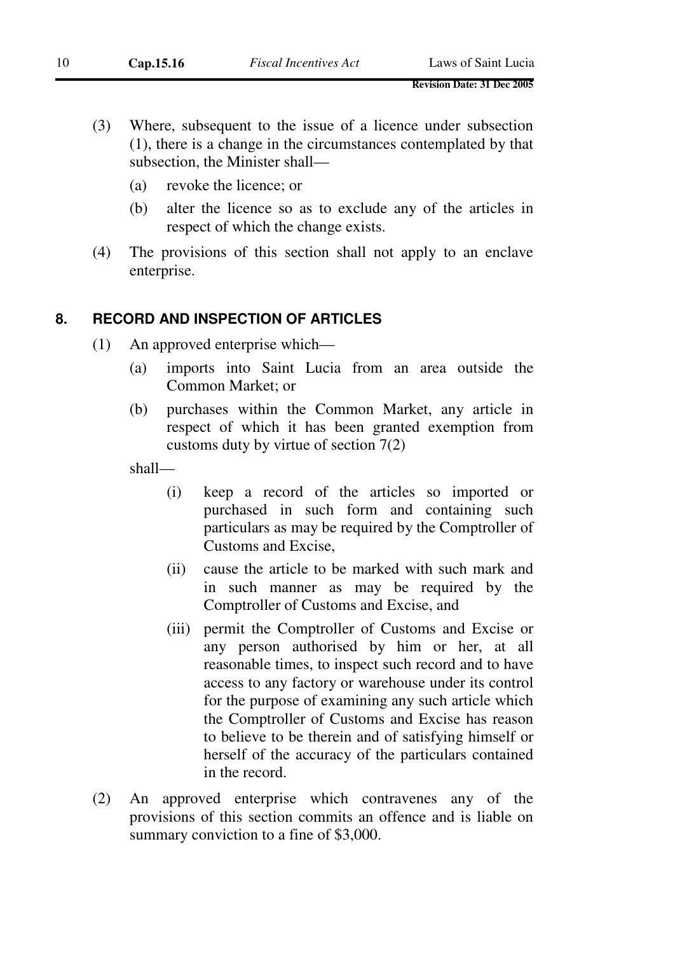- (3) Where, subsequent to the issue of a licence under subsection (1), there is a change in the circumstances contemplated by that subsection, the Minister shall—
	- (a) revoke the licence; or
	- (b) alter the licence so as to exclude any of the articles in respect of which the change exists.
- (4) The provisions of this section shall not apply to an enclave enterprise.

#### **8. RECORD AND INSPECTION OF ARTICLES**

- (1) An approved enterprise which—
	- (a) imports into Saint Lucia from an area outside the Common Market; or
	- (b) purchases within the Common Market, any article in respect of which it has been granted exemption from customs duty by virtue of section 7(2)

shall—

- (i) keep a record of the articles so imported or purchased in such form and containing such particulars as may be required by the Comptroller of Customs and Excise,
- (ii) cause the article to be marked with such mark and in such manner as may be required by the Comptroller of Customs and Excise, and
- (iii) permit the Comptroller of Customs and Excise or any person authorised by him or her, at all reasonable times, to inspect such record and to have access to any factory or warehouse under its control for the purpose of examining any such article which the Comptroller of Customs and Excise has reason to believe to be therein and of satisfying himself or herself of the accuracy of the particulars contained in the record.
- (2) An approved enterprise which contravenes any of the provisions of this section commits an offence and is liable on summary conviction to a fine of \$3,000.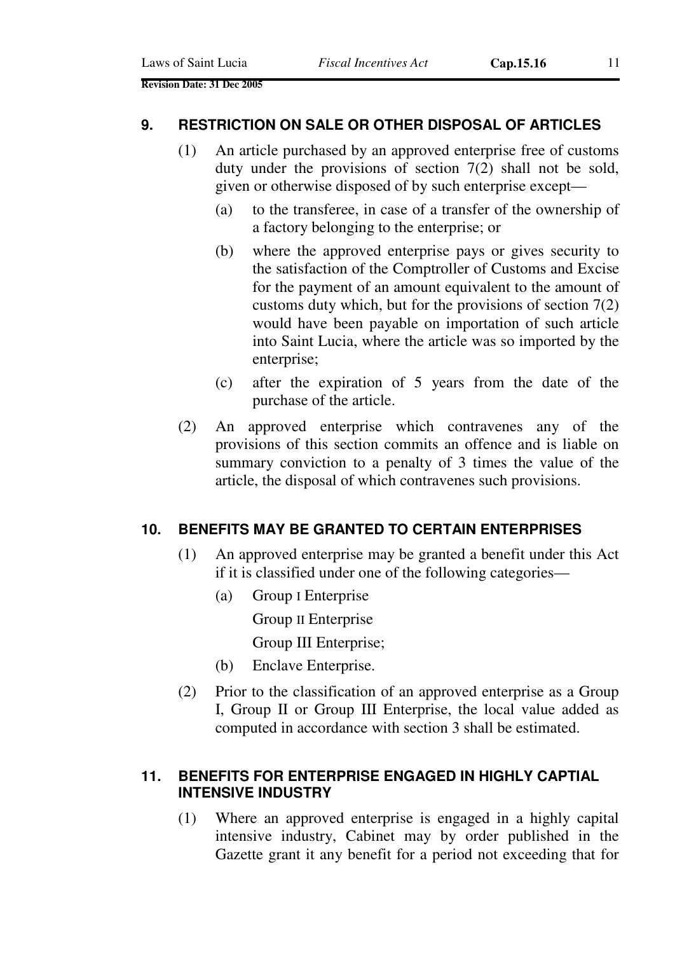#### **9. RESTRICTION ON SALE OR OTHER DISPOSAL OF ARTICLES**

- (1) An article purchased by an approved enterprise free of customs duty under the provisions of section 7(2) shall not be sold, given or otherwise disposed of by such enterprise except—
	- (a) to the transferee, in case of a transfer of the ownership of a factory belonging to the enterprise; or
	- (b) where the approved enterprise pays or gives security to the satisfaction of the Comptroller of Customs and Excise for the payment of an amount equivalent to the amount of customs duty which, but for the provisions of section  $7(2)$ would have been payable on importation of such article into Saint Lucia, where the article was so imported by the enterprise;
	- (c) after the expiration of 5 years from the date of the purchase of the article.
- (2) An approved enterprise which contravenes any of the provisions of this section commits an offence and is liable on summary conviction to a penalty of 3 times the value of the article, the disposal of which contravenes such provisions.

#### **10. BENEFITS MAY BE GRANTED TO CERTAIN ENTERPRISES**

- (1) An approved enterprise may be granted a benefit under this Act if it is classified under one of the following categories—
	- (a) Group I Enterprise

Group II Enterprise

Group III Enterprise;

- (b) Enclave Enterprise.
- (2) Prior to the classification of an approved enterprise as a Group I, Group II or Group III Enterprise, the local value added as computed in accordance with section 3 shall be estimated.

## **11. BENEFITS FOR ENTERPRISE ENGAGED IN HIGHLY CAPTIAL INTENSIVE INDUSTRY**

(1) Where an approved enterprise is engaged in a highly capital intensive industry, Cabinet may by order published in the Gazette grant it any benefit for a period not exceeding that for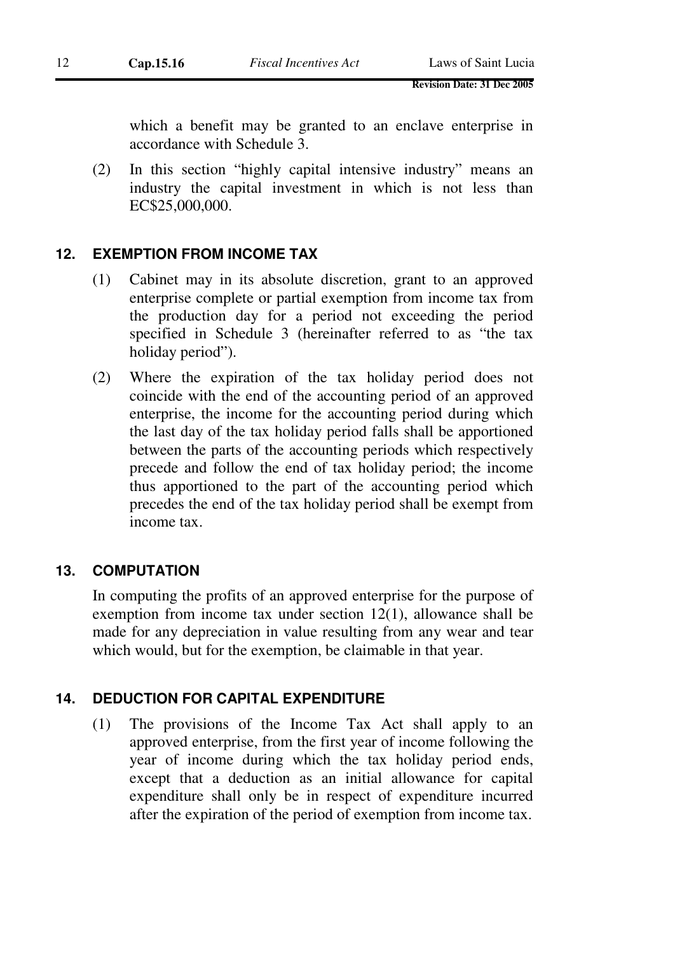which a benefit may be granted to an enclave enterprise in accordance with Schedule 3.

(2) In this section "highly capital intensive industry" means an industry the capital investment in which is not less than EC\$25,000,000.

### **12. EXEMPTION FROM INCOME TAX**

- (1) Cabinet may in its absolute discretion, grant to an approved enterprise complete or partial exemption from income tax from the production day for a period not exceeding the period specified in Schedule 3 (hereinafter referred to as "the tax holiday period").
- (2) Where the expiration of the tax holiday period does not coincide with the end of the accounting period of an approved enterprise, the income for the accounting period during which the last day of the tax holiday period falls shall be apportioned between the parts of the accounting periods which respectively precede and follow the end of tax holiday period; the income thus apportioned to the part of the accounting period which precedes the end of the tax holiday period shall be exempt from income tax.

### **13. COMPUTATION**

In computing the profits of an approved enterprise for the purpose of exemption from income tax under section 12(1), allowance shall be made for any depreciation in value resulting from any wear and tear which would, but for the exemption, be claimable in that year.

#### **14. DEDUCTION FOR CAPITAL EXPENDITURE**

(1) The provisions of the Income Tax Act shall apply to an approved enterprise, from the first year of income following the year of income during which the tax holiday period ends, except that a deduction as an initial allowance for capital expenditure shall only be in respect of expenditure incurred after the expiration of the period of exemption from income tax.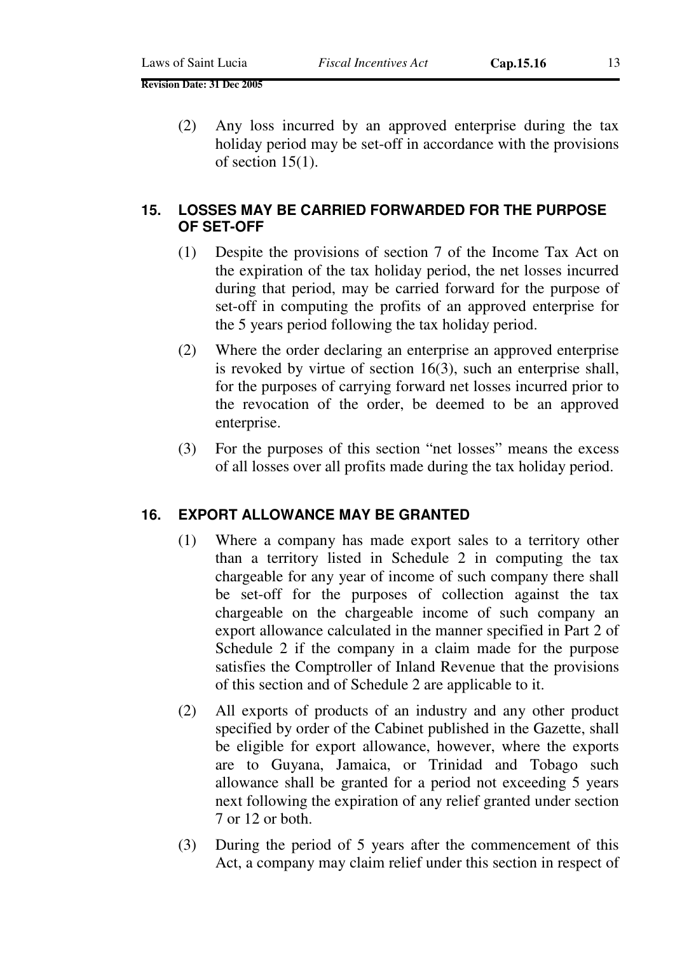(2) Any loss incurred by an approved enterprise during the tax holiday period may be set-off in accordance with the provisions of section 15(1).

#### **15. LOSSES MAY BE CARRIED FORWARDED FOR THE PURPOSE OF SET-OFF**

- (1) Despite the provisions of section 7 of the Income Tax Act on the expiration of the tax holiday period, the net losses incurred during that period, may be carried forward for the purpose of set-off in computing the profits of an approved enterprise for the 5 years period following the tax holiday period.
- (2) Where the order declaring an enterprise an approved enterprise is revoked by virtue of section 16(3), such an enterprise shall, for the purposes of carrying forward net losses incurred prior to the revocation of the order, be deemed to be an approved enterprise.
- (3) For the purposes of this section "net losses" means the excess of all losses over all profits made during the tax holiday period.

### **16. EXPORT ALLOWANCE MAY BE GRANTED**

- (1) Where a company has made export sales to a territory other than a territory listed in Schedule 2 in computing the tax chargeable for any year of income of such company there shall be set-off for the purposes of collection against the tax chargeable on the chargeable income of such company an export allowance calculated in the manner specified in Part 2 of Schedule 2 if the company in a claim made for the purpose satisfies the Comptroller of Inland Revenue that the provisions of this section and of Schedule 2 are applicable to it.
- (2) All exports of products of an industry and any other product specified by order of the Cabinet published in the Gazette, shall be eligible for export allowance, however, where the exports are to Guyana, Jamaica, or Trinidad and Tobago such allowance shall be granted for a period not exceeding 5 years next following the expiration of any relief granted under section 7 or 12 or both.
- (3) During the period of 5 years after the commencement of this Act, a company may claim relief under this section in respect of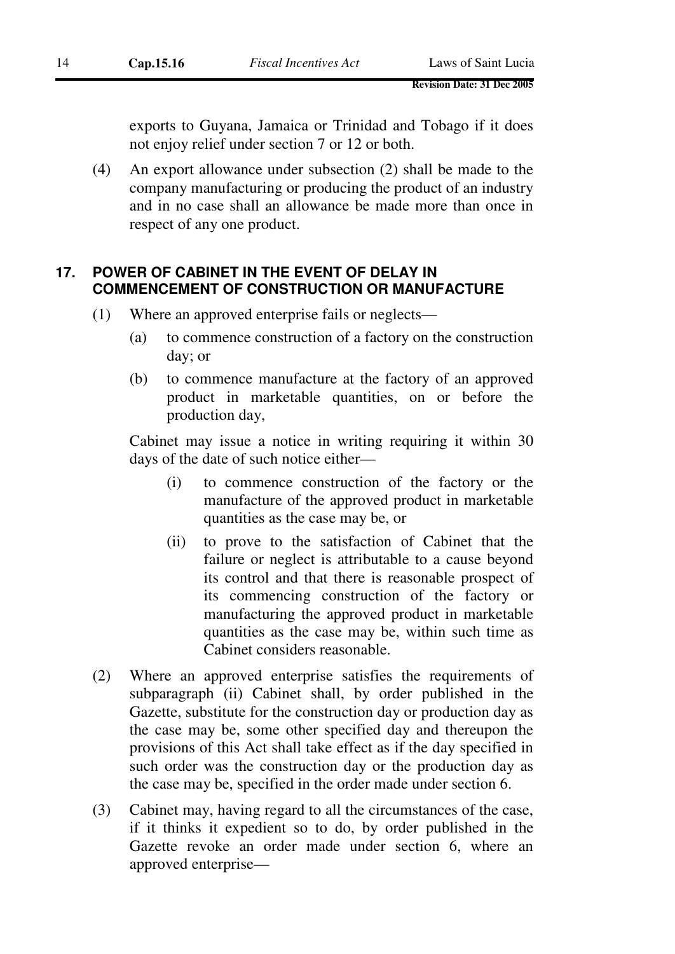exports to Guyana, Jamaica or Trinidad and Tobago if it does not enjoy relief under section 7 or 12 or both.

(4) An export allowance under subsection (2) shall be made to the company manufacturing or producing the product of an industry and in no case shall an allowance be made more than once in respect of any one product.

# **17. POWER OF CABINET IN THE EVENT OF DELAY IN COMMENCEMENT OF CONSTRUCTION OR MANUFACTURE**

- (1) Where an approved enterprise fails or neglects—
	- (a) to commence construction of a factory on the construction day; or
	- (b) to commence manufacture at the factory of an approved product in marketable quantities, on or before the production day,

Cabinet may issue a notice in writing requiring it within 30 days of the date of such notice either—

- (i) to commence construction of the factory or the manufacture of the approved product in marketable quantities as the case may be, or
- (ii) to prove to the satisfaction of Cabinet that the failure or neglect is attributable to a cause beyond its control and that there is reasonable prospect of its commencing construction of the factory or manufacturing the approved product in marketable quantities as the case may be, within such time as Cabinet considers reasonable.
- (2) Where an approved enterprise satisfies the requirements of subparagraph (ii) Cabinet shall, by order published in the Gazette, substitute for the construction day or production day as the case may be, some other specified day and thereupon the provisions of this Act shall take effect as if the day specified in such order was the construction day or the production day as the case may be, specified in the order made under section 6.
- (3) Cabinet may, having regard to all the circumstances of the case, if it thinks it expedient so to do, by order published in the Gazette revoke an order made under section 6, where an approved enterprise—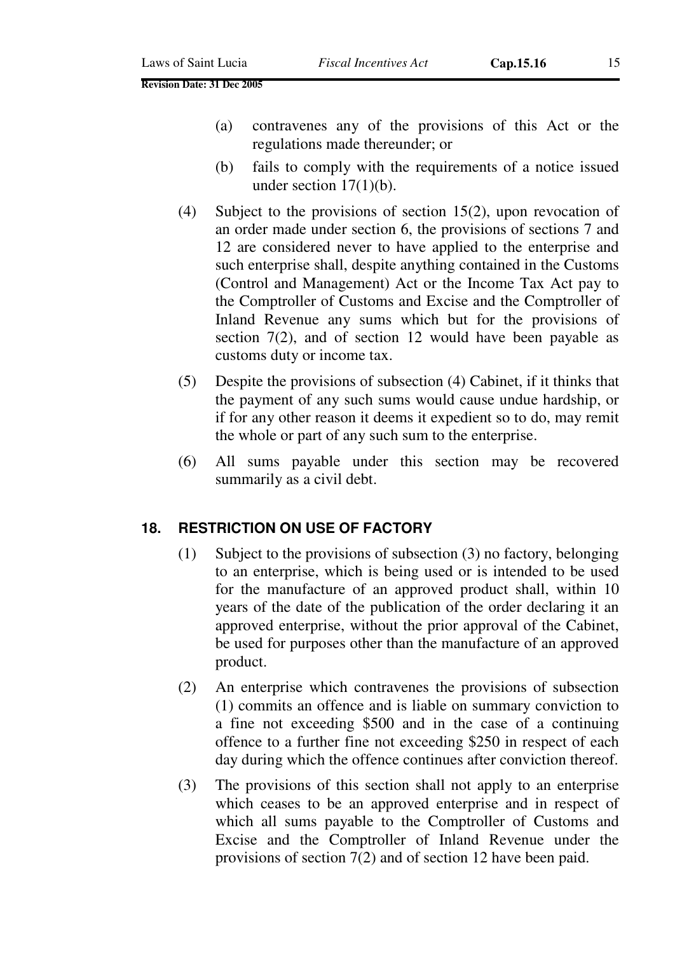- (a) contravenes any of the provisions of this Act or the regulations made thereunder; or
- (b) fails to comply with the requirements of a notice issued under section  $17(1)(b)$ .
- (4) Subject to the provisions of section 15(2), upon revocation of an order made under section 6, the provisions of sections 7 and 12 are considered never to have applied to the enterprise and such enterprise shall, despite anything contained in the Customs (Control and Management) Act or the Income Tax Act pay to the Comptroller of Customs and Excise and the Comptroller of Inland Revenue any sums which but for the provisions of section 7(2), and of section 12 would have been payable as customs duty or income tax.
- (5) Despite the provisions of subsection (4) Cabinet, if it thinks that the payment of any such sums would cause undue hardship, or if for any other reason it deems it expedient so to do, may remit the whole or part of any such sum to the enterprise.
- (6) All sums payable under this section may be recovered summarily as a civil debt.

#### **18. RESTRICTION ON USE OF FACTORY**

- (1) Subject to the provisions of subsection (3) no factory, belonging to an enterprise, which is being used or is intended to be used for the manufacture of an approved product shall, within 10 years of the date of the publication of the order declaring it an approved enterprise, without the prior approval of the Cabinet, be used for purposes other than the manufacture of an approved product.
- (2) An enterprise which contravenes the provisions of subsection (1) commits an offence and is liable on summary conviction to a fine not exceeding \$500 and in the case of a continuing offence to a further fine not exceeding \$250 in respect of each day during which the offence continues after conviction thereof.
- (3) The provisions of this section shall not apply to an enterprise which ceases to be an approved enterprise and in respect of which all sums payable to the Comptroller of Customs and Excise and the Comptroller of Inland Revenue under the provisions of section 7(2) and of section 12 have been paid.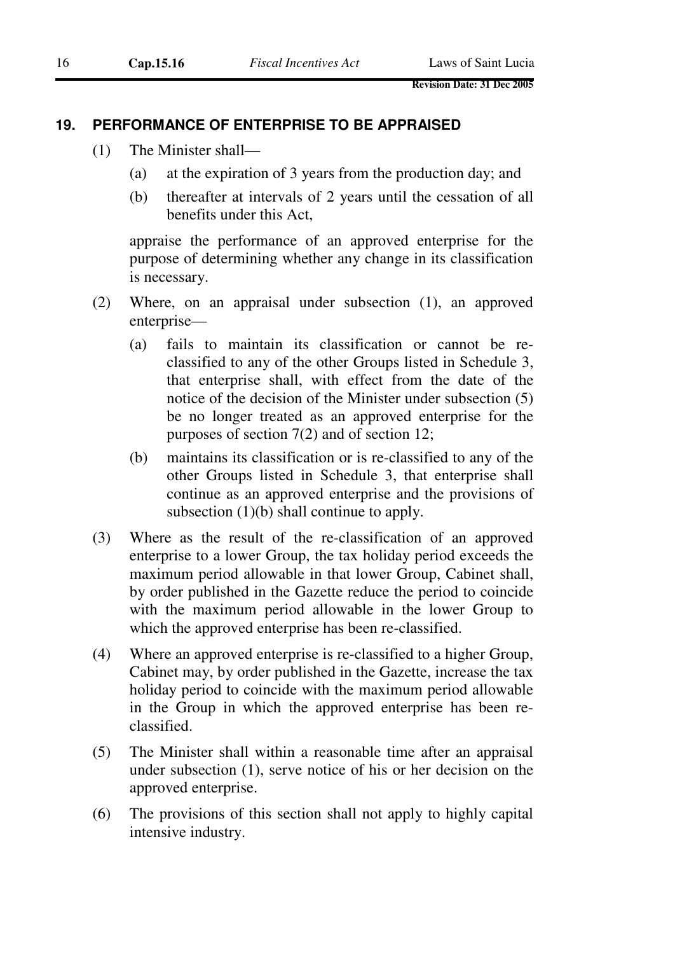#### **19. PERFORMANCE OF ENTERPRISE TO BE APPRAISED**

- (1) The Minister shall—
	- (a) at the expiration of 3 years from the production day; and
	- (b) thereafter at intervals of 2 years until the cessation of all benefits under this Act,

appraise the performance of an approved enterprise for the purpose of determining whether any change in its classification is necessary.

- (2) Where, on an appraisal under subsection (1), an approved enterprise—
	- (a) fails to maintain its classification or cannot be reclassified to any of the other Groups listed in Schedule 3, that enterprise shall, with effect from the date of the notice of the decision of the Minister under subsection (5) be no longer treated as an approved enterprise for the purposes of section 7(2) and of section 12;
	- (b) maintains its classification or is re-classified to any of the other Groups listed in Schedule 3, that enterprise shall continue as an approved enterprise and the provisions of subsection (1)(b) shall continue to apply.
- (3) Where as the result of the re-classification of an approved enterprise to a lower Group, the tax holiday period exceeds the maximum period allowable in that lower Group, Cabinet shall, by order published in the Gazette reduce the period to coincide with the maximum period allowable in the lower Group to which the approved enterprise has been re-classified.
- (4) Where an approved enterprise is re-classified to a higher Group, Cabinet may, by order published in the Gazette, increase the tax holiday period to coincide with the maximum period allowable in the Group in which the approved enterprise has been reclassified.
- (5) The Minister shall within a reasonable time after an appraisal under subsection (1), serve notice of his or her decision on the approved enterprise.
- (6) The provisions of this section shall not apply to highly capital intensive industry.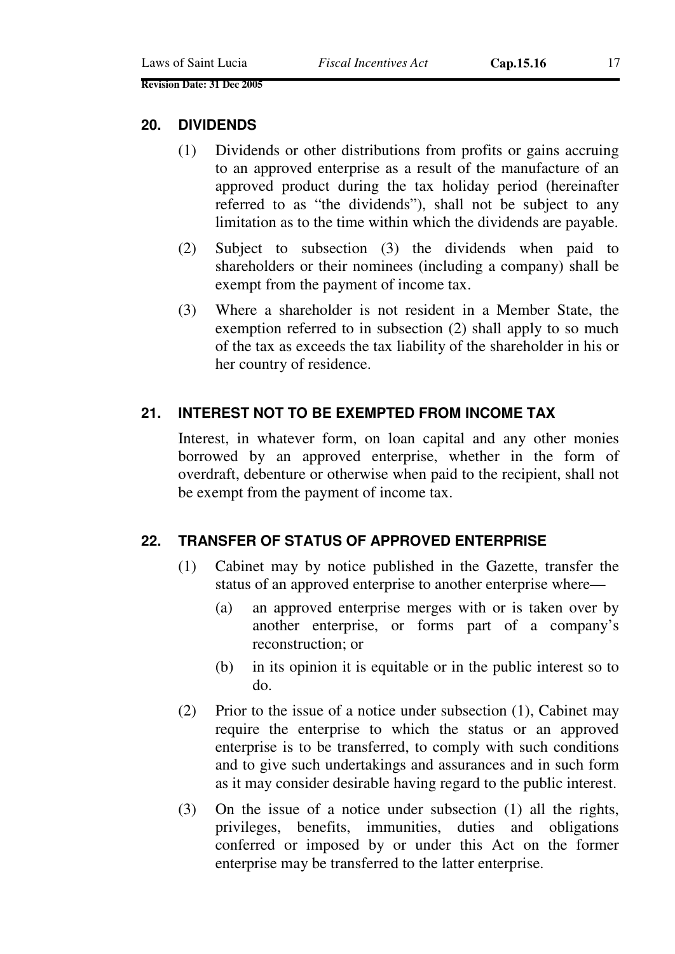#### **20. DIVIDENDS**

- (1) Dividends or other distributions from profits or gains accruing to an approved enterprise as a result of the manufacture of an approved product during the tax holiday period (hereinafter referred to as "the dividends"), shall not be subject to any limitation as to the time within which the dividends are payable.
- (2) Subject to subsection (3) the dividends when paid to shareholders or their nominees (including a company) shall be exempt from the payment of income tax.
- (3) Where a shareholder is not resident in a Member State, the exemption referred to in subsection (2) shall apply to so much of the tax as exceeds the tax liability of the shareholder in his or her country of residence.

# **21. INTEREST NOT TO BE EXEMPTED FROM INCOME TAX**

Interest, in whatever form, on loan capital and any other monies borrowed by an approved enterprise, whether in the form of overdraft, debenture or otherwise when paid to the recipient, shall not be exempt from the payment of income tax.

### **22. TRANSFER OF STATUS OF APPROVED ENTERPRISE**

- (1) Cabinet may by notice published in the Gazette, transfer the status of an approved enterprise to another enterprise where—
	- (a) an approved enterprise merges with or is taken over by another enterprise, or forms part of a company's reconstruction; or
	- (b) in its opinion it is equitable or in the public interest so to do.
- (2) Prior to the issue of a notice under subsection (1), Cabinet may require the enterprise to which the status or an approved enterprise is to be transferred, to comply with such conditions and to give such undertakings and assurances and in such form as it may consider desirable having regard to the public interest.
- (3) On the issue of a notice under subsection (1) all the rights, privileges, benefits, immunities, duties and obligations conferred or imposed by or under this Act on the former enterprise may be transferred to the latter enterprise.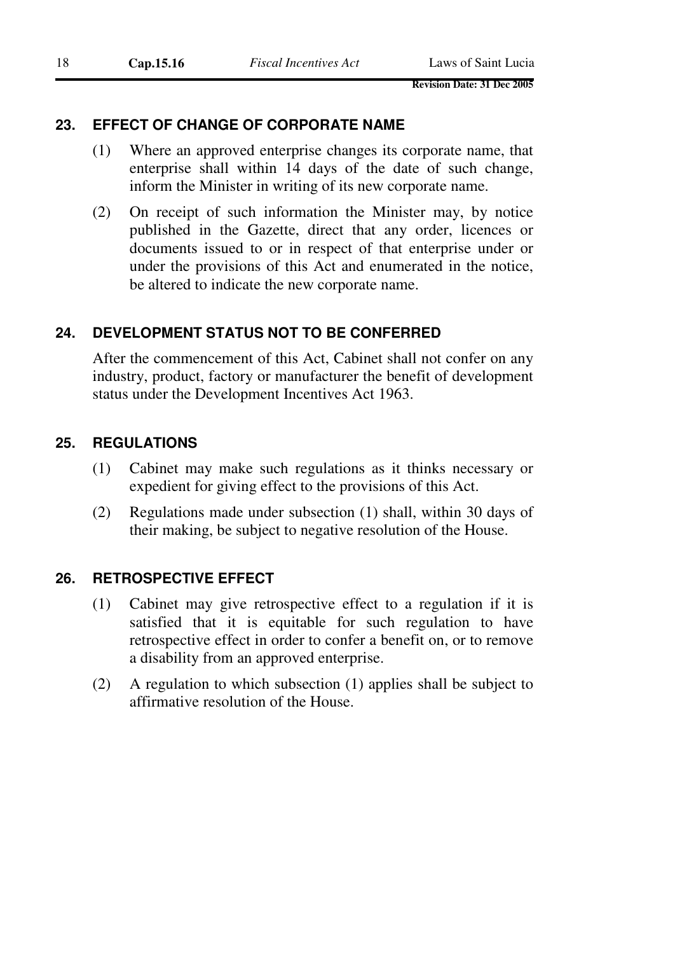### **23. EFFECT OF CHANGE OF CORPORATE NAME**

- (1) Where an approved enterprise changes its corporate name, that enterprise shall within 14 days of the date of such change, inform the Minister in writing of its new corporate name.
- (2) On receipt of such information the Minister may, by notice published in the Gazette, direct that any order, licences or documents issued to or in respect of that enterprise under or under the provisions of this Act and enumerated in the notice, be altered to indicate the new corporate name.

### **24. DEVELOPMENT STATUS NOT TO BE CONFERRED**

After the commencement of this Act, Cabinet shall not confer on any industry, product, factory or manufacturer the benefit of development status under the Development Incentives Act 1963.

#### **25. REGULATIONS**

- (1) Cabinet may make such regulations as it thinks necessary or expedient for giving effect to the provisions of this Act.
- (2) Regulations made under subsection (1) shall, within 30 days of their making, be subject to negative resolution of the House.

#### **26. RETROSPECTIVE EFFECT**

- (1) Cabinet may give retrospective effect to a regulation if it is satisfied that it is equitable for such regulation to have retrospective effect in order to confer a benefit on, or to remove a disability from an approved enterprise.
- (2) A regulation to which subsection (1) applies shall be subject to affirmative resolution of the House.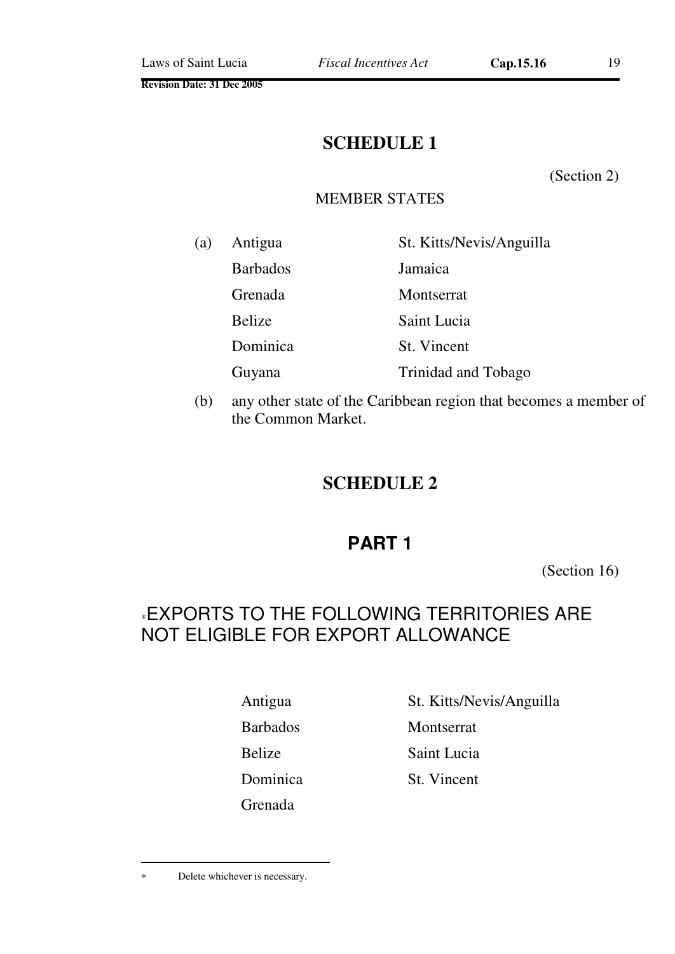# **SCHEDULE 1**

(Section 2)

# MEMBER STATES

| (a) | Antigua         | St. Kitts/Nevis/Anguilla |
|-----|-----------------|--------------------------|
|     | <b>Barbados</b> | Jamaica                  |
|     | Grenada         | Montserrat               |
|     | <b>Belize</b>   | Saint Lucia              |
|     | Dominica        | St. Vincent              |
|     | Guyana          | Trinidad and Tobago      |

(b) any other state of the Caribbean region that becomes a member of the Common Market.

# **SCHEDULE 2**

# **PART 1**

(Section 16)

# <sup>∗</sup>EXPORTS TO THE FOLLOWING TERRITORIES ARE NOT ELIGIBLE FOR EXPORT ALLOWANCE

Grenada

Antigua St. Kitts/Nevis/Anguilla

Barbados Montserrat

Belize Saint Lucia

Dominica St. Vincent

 $\overline{a}$ 

<sup>∗</sup> Delete whichever is necessary.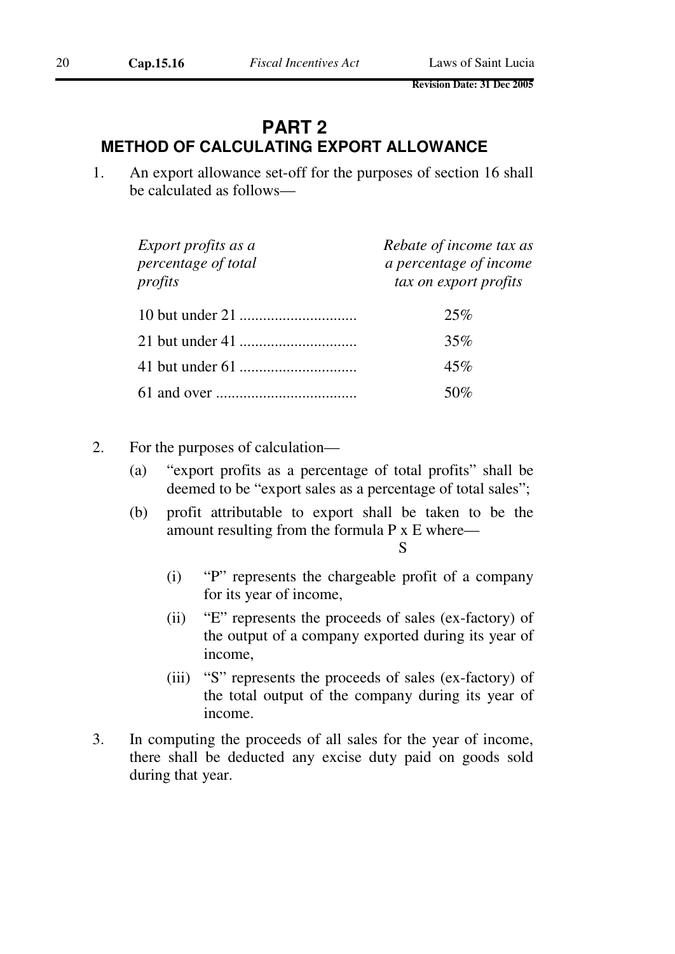# **PART 2 METHOD OF CALCULATING EXPORT ALLOWANCE**

1. An export allowance set-off for the purposes of section 16 shall be calculated as follows—

| Export profits as a<br>percentage of total<br>profits | Rebate of income tax as<br>a percentage of income<br>tax on export profits |
|-------------------------------------------------------|----------------------------------------------------------------------------|
|                                                       | 25%                                                                        |
|                                                       | 35%                                                                        |
|                                                       | 45%                                                                        |
|                                                       | 50\%                                                                       |

- 2. For the purposes of calculation—
	- (a) "export profits as a percentage of total profits" shall be deemed to be "export sales as a percentage of total sales";
	- (b) profit attributable to export shall be taken to be the amount resulting from the formula P x E where—

S

- (i) "P" represents the chargeable profit of a company for its year of income,
- (ii) "E" represents the proceeds of sales (ex-factory) of the output of a company exported during its year of income,
- (iii) "S" represents the proceeds of sales (ex-factory) of the total output of the company during its year of income.
- 3. In computing the proceeds of all sales for the year of income, there shall be deducted any excise duty paid on goods sold during that year.